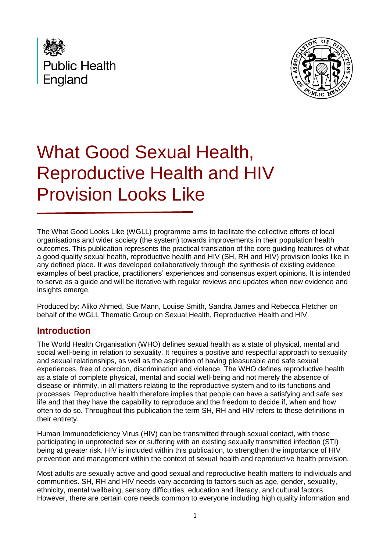



# What Good Sexual Health, Reproductive Health and HIV Provision Looks Like

The What Good Looks Like (WGLL) programme aims to facilitate the collective efforts of local organisations and wider society (the system) towards improvements in their population health outcomes. This publication represents the practical translation of the core guiding features of what a good quality sexual health, reproductive health and HIV (SH, RH and HIV) provision looks like in any defined place. It was developed collaboratively through the synthesis of existing evidence, examples of best practice, practitioners' experiences and consensus expert opinions. It is intended to serve as a guide and will be iterative with regular reviews and updates when new evidence and insights emerge.

Produced by: Aliko Ahmed, Sue Mann, Louise Smith, Sandra James and Rebecca Fletcher on behalf of the WGLL Thematic Group on Sexual Health, Reproductive Health and HIV.

## **Introduction**

The World Health Organisation (WHO) defines sexual health as a state of physical, mental and social well-being in relation to sexuality. It requires a positive and respectful approach to sexuality and sexual relationships, as well as the aspiration of having pleasurable and safe sexual experiences, free of coercion, discrimination and violence. The WHO defines reproductive health as a state of complete physical, mental and social well-being and not merely the absence of disease or infirmity, in all matters relating to the reproductive system and to its functions and processes. Reproductive health therefore implies that people can have a satisfying and safe sex life and that they have the capability to reproduce and the freedom to decide if, when and how often to do so. Throughout this publication the term SH, RH and HIV refers to these definitions in their entirety.

Human Immunodeficiency Virus (HIV) can be transmitted through sexual contact, with those participating in unprotected sex or suffering with an existing sexually transmitted infection (STI) being at greater risk. HIV is included within this publication, to strengthen the importance of HIV prevention and management within the context of sexual health and reproductive health provision.

Most adults are sexually active and good sexual and reproductive health matters to individuals and communities. SH, RH and HIV needs vary according to factors such as age, gender, sexuality, ethnicity, mental wellbeing, sensory difficulties, education and literacy, and cultural factors. However, there are certain core needs common to everyone including high quality information and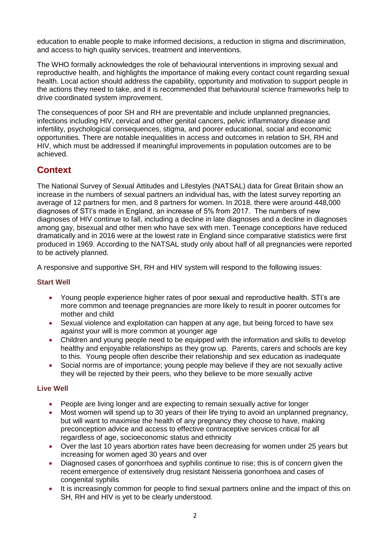education to enable people to make informed decisions, a reduction in stigma and discrimination, and access to high quality services, treatment and interventions.

The WHO formally acknowledges the role of behavioural interventions in improving sexual and reproductive health, and highlights the importance of making every contact count regarding sexual health. Local action should address the capability, opportunity and motivation to support people in the actions they need to take, and it is recommended that behavioural science frameworks help to drive coordinated system improvement.

The consequences of poor SH and RH are preventable and include unplanned pregnancies, infections including HIV, cervical and other genital cancers, pelvic inflammatory disease and infertility, psychological consequences, stigma, and poorer educational, social and economic opportunities. There are notable inequalities in access and outcomes in relation to SH, RH and HIV, which must be addressed if meaningful improvements in population outcomes are to be achieved.

## **Context**

The National Survey of Sexual Attitudes and Lifestyles (NATSAL) data for Great Britain show an increase in the numbers of sexual partners an individual has, with the latest survey reporting an average of 12 partners for men, and 8 partners for women. In 2018, there were around 448,000 diagnoses of STI's made in England, an increase of 5% from 2017. The numbers of new diagnoses of HIV continue to fall, including a decline in late diagnoses and a decline in diagnoses among gay, bisexual and other men who have sex with men. Teenage conceptions have reduced dramatically and in 2016 were at the lowest rate in England since comparative statistics were first produced in 1969. According to the NATSAL study only about half of all pregnancies were reported to be actively planned.

A responsive and supportive SH, RH and HIV system will respond to the following issues:

#### **Start Well**

- Young people experience higher rates of poor sexual and reproductive health. STI's are more common and teenage pregnancies are more likely to result in poorer outcomes for mother and child
- Sexual violence and exploitation can happen at any age, but being forced to have sex against your will is more common at younger age
- Children and young people need to be equipped with the information and skills to develop healthy and enjoyable relationships as they grow up. Parents, carers and schools are key to this. Young people often describe their relationship and sex education as inadequate
- Social norms are of importance; young people may believe if they are not sexually active they will be rejected by their peers, who they believe to be more sexually active

#### **Live Well**

- People are living longer and are expecting to remain sexually active for longer
- Most women will spend up to 30 years of their life trying to avoid an unplanned pregnancy, but will want to maximise the health of any pregnancy they choose to have, making preconception advice and access to effective contraceptive services critical for all regardless of age, socioeconomic status and ethnicity
- Over the last 10 years abortion rates have been decreasing for women under 25 years but increasing for women aged 30 years and over
- Diagnosed cases of gonorrhoea and syphilis continue to rise; this is of concern given the recent emergence of extensively drug resistant Neisseria gonorrhoea and cases of congenital syphilis
- It is increasingly common for people to find sexual partners online and the impact of this on SH, RH and HIV is yet to be clearly understood.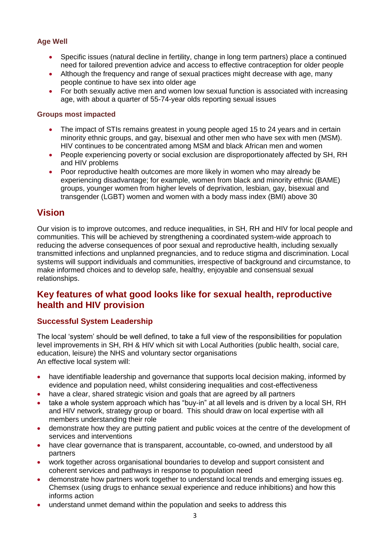#### **Age Well**

- Specific issues (natural decline in fertility, change in long term partners) place a continued need for tailored prevention advice and access to effective contraception for older people
- Although the frequency and range of sexual practices might decrease with age, many people continue to have sex into older age
- For both sexually active men and women low sexual function is associated with increasing age, with about a quarter of 55-74-year olds reporting sexual issues

#### **Groups most impacted**

- The impact of STIs remains greatest in young people aged 15 to 24 years and in certain minority ethnic groups, and gay, bisexual and other men who have sex with men (MSM). HIV continues to be concentrated among MSM and black African men and women
- People experiencing poverty or social exclusion are disproportionately affected by SH, RH and HIV problems
- Poor reproductive health outcomes are more likely in women who may already be experiencing disadvantage; for example, women from black and minority ethnic (BAME) groups, younger women from higher levels of deprivation, lesbian, gay, bisexual and transgender (LGBT) women and women with a body mass index (BMI) above 30

## **Vision**

Our vision is to improve outcomes, and reduce inequalities, in SH, RH and HIV for local people and communities. This will be achieved by strengthening a coordinated system-wide approach to reducing the adverse consequences of poor sexual and reproductive health, including sexually transmitted infections and unplanned pregnancies, and to reduce stigma and discrimination. Local systems will support individuals and communities, irrespective of background and circumstance, to make informed choices and to develop safe, healthy, enjoyable and consensual sexual relationships.

## **Key features of what good looks like for sexual health, reproductive health and HIV provision**

#### **Successful System Leadership**

The local 'system' should be well defined, to take a full view of the responsibilities for population level improvements in SH, RH & HIV which sit with Local Authorities (public health, social care, education, leisure) the NHS and voluntary sector organisations An effective local system will:

- have identifiable leadership and governance that supports local decision making, informed by evidence and population need, whilst considering inequalities and cost-effectiveness
- have a clear, shared strategic vision and goals that are agreed by all partners
- take a whole system approach which has "buy-in" at all levels and is driven by a local SH, RH and HIV network, strategy group or board. This should draw on local expertise with all members understanding their role
- demonstrate how they are putting patient and public voices at the centre of the development of services and interventions
- have clear governance that is transparent, accountable, co-owned, and understood by all partners
- work together across organisational boundaries to develop and support consistent and coherent services and pathways in response to population need
- demonstrate how partners work together to understand local trends and emerging issues eg. Chemsex (using drugs to enhance sexual experience and reduce inhibitions) and how this informs action
- understand unmet demand within the population and seeks to address this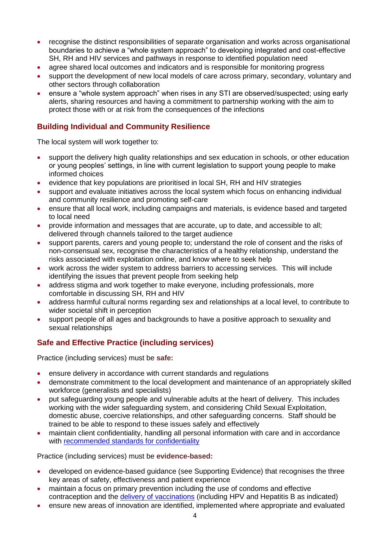- recognise the distinct responsibilities of separate organisation and works across organisational boundaries to achieve a "whole system approach" to developing integrated and cost-effective SH, RH and HIV services and pathways in response to identified population need
- agree shared local outcomes and indicators and is responsible for monitoring progress
- support the development of new local models of care across primary, secondary, voluntary and other sectors through collaboration
- ensure a "whole system approach" when rises in any STI are observed/suspected; using early alerts, sharing resources and having a commitment to partnership working with the aim to protect those with or at risk from the consequences of the infections

#### **Building Individual and Community Resilience**

The local system will work together to:

- support the delivery high quality relationships and sex education in schools, or other education or young peoples' settings, in line with current legislation to support young people to make informed choices
- evidence that key populations are prioritised in local SH, RH and HIV strategies
- support and evaluate initiatives across the local system which focus on enhancing individual and community resilience and promoting self-care
- ensure that all local work, including campaigns and materials, is evidence based and targeted to local need
- provide information and messages that are accurate, up to date, and accessible to all; delivered through channels tailored to the target audience
- support parents, carers and young people to; understand the role of consent and the risks of non-consensual sex, recognise the characteristics of a healthy relationship, understand the risks associated with exploitation online, and know where to seek help
- work across the wider system to address barriers to accessing services. This will include identifying the issues that prevent people from seeking help
- address stigma and work together to make everyone, including professionals, more comfortable in discussing SH, RH and HIV
- address harmful cultural norms regarding sex and relationships at a local level, to contribute to wider societal shift in perception
- support people of all ages and backgrounds to have a positive approach to sexuality and sexual relationships

#### **Safe and Effective Practice (including services)**

Practice (including services) must be **safe:**

- ensure delivery in accordance with current standards and regulations
- demonstrate commitment to the local development and maintenance of an appropriately skilled workforce (generalists and specialists)
- put safeguarding young people and vulnerable adults at the heart of delivery. This includes working with the wider safeguarding system, and considering Child Sexual Exploitation, domestic abuse, coercive relationships, and other safeguarding concerns. Staff should be trained to be able to respond to these issues safely and effectively
- maintain client confidentiality, handling all personal information with care and in accordance with [recommended standards for confidentiality](https://www.fsrh.org/standards-and-guidance/documents/clinical-standards-service-standards-confidentiality/)

Practice (including services) must be **evidence-based:**

- developed on evidence-based guidance (see Supporting Evidence) that recognises the three key areas of safety, effectiveness and patient experience
- maintain a focus on primary prevention including the use of condoms and effective contraception and the *delivery of vaccinations* (including HPV and Hepatitis B as indicated)
- ensure new areas of innovation are identified, implemented where appropriate and evaluated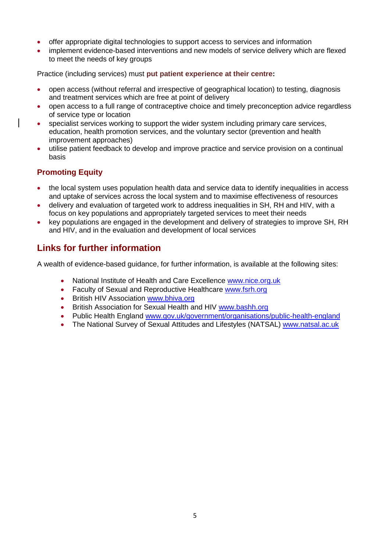- offer appropriate digital technologies to support access to services and information
- implement evidence-based interventions and new models of service delivery which are flexed to meet the needs of key groups

Practice (including services) must **put patient experience at their centre:**

- open access (without referral and irrespective of geographical location) to testing, diagnosis and treatment services which are free at point of delivery
- open access to a full range of contraceptive choice and timely preconception advice regardless of service type or location
- specialist services working to support the wider system including primary care services, education, health promotion services, and the voluntary sector (prevention and health improvement approaches)
- utilise patient feedback to develop and improve practice and service provision on a continual basis

#### **Promoting Equity**

- the local system uses population health data and service data to identify inequalities in access and uptake of services across the local system and to maximise effectiveness of resources
- delivery and evaluation of targeted work to address inequalities in SH, RH and HIV, with a focus on key populations and appropriately targeted services to meet their needs
- key populations are engaged in the development and delivery of strategies to improve SH, RH and HIV, and in the evaluation and development of local services

## **Links for further information**

A wealth of evidence-based guidance, for further information, is available at the following sites:

- National Institute of Health and Care Excellence [www.nice.org.uk](http://www.nice.org.uk/)
- Faculty of Sexual and Reproductive Healthcare [www.fsrh.org](http://www.fsrh.org/)
- British HIV Association [www.bhiva.org](http://www.bhiva.org/)
- British Association for Sexual Health and HIV [www.bashh.org](http://www.bashh.org/)
- Public Health England [www.gov.uk/government/organisations/public-health-england](http://www.gov.uk/government/organisations/public-health-england)
- The National Survey of Sexual Attitudes and Lifestyles (NATSAL) [www.natsal.ac.uk](http://www.natsal.ac.uk/)